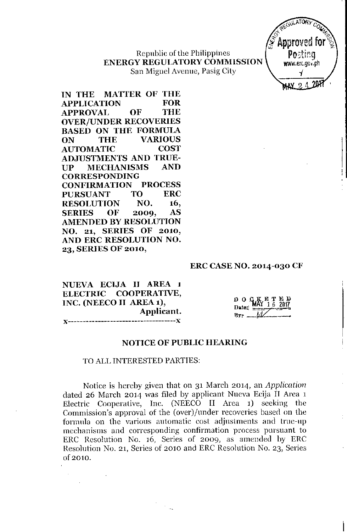Republic of the Philippines **ENERGY REGULATORY COMMISSION** San Miguel Avenue, Pasig City



IN THE MATTER OF THE **FOR APPLICATION** THE **APPROVAL OF OVER/UNDER RECOVERIES BASED ON THE FORMULA THE VARIOUS** ON **COST AUTOMATIC ADJUSTMENTS AND TRUE-AND MECHANISMS IIP CORRESPONDING PROCESS CONFIRMATION TO FRC PURSUANT RESOLUTION** NO. 16. **AS SERIES** OF 2009, **AMENDED BY RESOLUTION** NO. 21, SERIES OF 2010, AND ERC RESOLUTION NO. 23. SERIES OF 2010,

### **ERC CASE NO. 2014-030 CF**

| NUEVA ECIJA II AREA 1   |  |  |            |  |  |  |
|-------------------------|--|--|------------|--|--|--|
| ELECTRIC COOPERATIVE,   |  |  |            |  |  |  |
| INC. (NEECO II AREA 1), |  |  |            |  |  |  |
|                         |  |  | Applicant. |  |  |  |
|                         |  |  |            |  |  |  |

|  |                     | $D$ O $G$ $K$ $T$ $T$ $B$ $D$<br>Date: $M$ $T$ $T$ $6$ $201$ |  |  |
|--|---------------------|--------------------------------------------------------------|--|--|
|  | Date: $\frac{M}{n}$ |                                                              |  |  |
|  |                     |                                                              |  |  |

### **NOTICE OF PUBLIC HEARING**

#### TO ALL INTERESTED PARTIES:

Notice is hereby given that on 31 March 2014, an Application dated 26 March 2014 was filed by applicant Nueva Ecija II Area 1 Electric Cooperative, Inc. (NEECO II Area 1) seeking the Commission's approval of the (over)/under recoveries based on the formula on the various automatic cost adjustments and true-up mechanisms and corresponding confirmation process pursuant to ERC Resolution No. 16, Series of 2009, as amended by ERC Resolution No. 21, Series of 2010 and ERC Resolution No. 23, Series of 2010.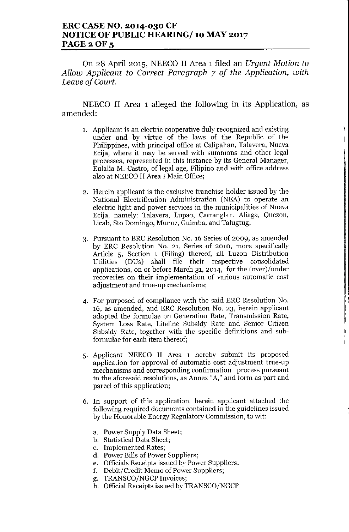### ERC CASE NO. 2014-030 CF NOTICE OF PUBLIC HEARING/ 10 MAY 2017 PAGE 2 OF 5

On <sup>28</sup> April 2015, NEECO IIArea <sup>1</sup> filed an *Urgent Motion to Allow Applicant to Correct Paragraph* 7 *of the Application, with Leave of Court.*

NEECO II Area 1 alleged the following in its Application, as amended:

1. Applicant is an electric cooperative duly recognized and existing under and by virtue of the laws of the Republic of the Philippines, with principal office at Calipahan, Talavera, Nueva Ecija, where it may be served with summons and other legal processes, represented in this instance by its General Manager, Eulalia M. Castro, of legal age, Filipino and with office address also at NEECO II Area 1 Main Office;

٦  $\overline{1}$ 

 $\overline{1}$ 

- 2. Herein applicant is the exclusive franchise holder issued by the National Electrification Administration (NEA) to operate an electric light and power services in the municipalities of Nueva Ecija, namely: Talavera, Lupao, Carranglan, Aliaga, Quezon, Licab, Sto Domingo, Munoz, Guimba, and Talugtug;
- 3. Pursuant to ERC Resolution No. 16 Series of 2009, as amended by ERC Resolution No. 21, Series of 2010, more specifically Article 5, Section 1 (Filing) thereof, all Luzon Distribution Utilities (DUs) shall file their respective consolidated applications, on or before March 31, 2014, for the (over)/under recoveries on their implementation of various automatic cost adjustment and true-up mechanisms;
- 4. For purposed of compliance with the said ERC Resolution No. 16, as amended, and ERC Resolution No. 23, herein applicant adopted the formulae on Generation Rate, Transmission Rate, System Loss Rate, Lifeline Subsidy Rate and Senior Citizen Subsidy Rate, together with the specific definitions and subformulae for each item thereof;
- 5. Applicant NEECO II Area 1 hereby submit its proposed application for approval of automatic cost adjustment true-up mechanisms and corresponding confirmation process pursuant to the aforesaid resolutions, as Annex *"A,"* and form as part and parcel of this application;
- 6. **In** support of this application, herein applicant attached the following required documents contained in the guidelines issued by the Honorable Energy Regulatory Commission, to wit:
	- a. Power Supply Data Sheet;
	- b. Statistical Data Sheet;
	- c. Implemented Rates;
	- d. Power Bills of Power Suppliers;
	- e. Officials Receipts issued by Power Suppliers;
	- f. Debit/Credit Memo of Power Suppliers;
	- g. *TRANSCOjNGCP* Invoices;
	- h. Official Receipts issued by *TRANSCOjNGCP*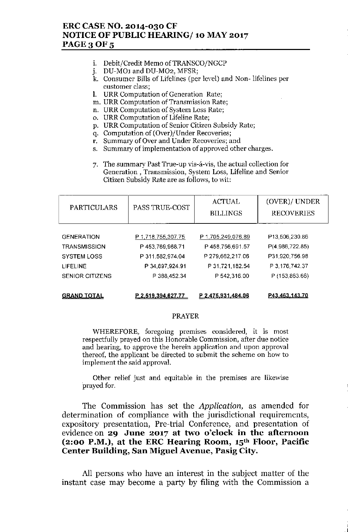## ERC CASE NO. 2014-030 CF NOTICE OF PUBLIC HEARING/ 10 MAY 2017 PAGE 3 OF 5

- i. Debit/Credit Memo of TRANSCO/NGCP
- j. DU-MO1 and DU-MO2, MFSR;
- k. Consumer Bills of Lifelines (per level) and Non- lifelines per customer class;
- 1. URR Computation of Generation Rate;
- m. URR Computation of Transmission Rate;
- n. URR Computation of System Loss Rate;
- o. URR Computation of Lifeline Rate;
- p. URR Computation of Senior Citizen Subsidy Rate;
- q. Computation of (Over)/Under Recoveries;
- r. Summary of Over and Under Recoveries; and
- s. Summary of implementation of approved other charges.
- 7. The summary Past True-up vis-á-vis, the actual collection for Generation, Transmission, System Loss, Lifeline and Senior Citizen Subsidy Rate are as follows, to wit:

| PARTICULARS            | PASS TRUE-COST     | <b>ACTUAL</b><br><b>BILLINGS</b> | (OVER)/ UNDER<br><b>RECOVERIES</b> |  |
|------------------------|--------------------|----------------------------------|------------------------------------|--|
| <b>GENERATION</b>      | P 1,718,755,307.75 | P 1,705,249,076.89               | P13,506,230.86                     |  |
| <b>TRANSMISSION</b>    | P453,769,968.71    | P458,756,691.57                  | P(4,986,722.85)                    |  |
| <b>SYSTEM LOSS</b>     | P 311,582,974.04   | P 279,662,217.06                 | P31,920,756.98                     |  |
| LIFELINE               | P 34,897,924.91    | P 31,721,182.54                  | P 3, 176, 742.37                   |  |
| <b>SENIOR CITIZENS</b> | P 388,452.34       | P 542,316.00                     | P (153,863.66)                     |  |

GRAND IOIAL **P 2.519,394.627,77 P 2,475.931.484.06 P43,463.143,7D**

#### PRAYER

WHEREFORE, foregoing premises considered, it is most respectfully prayed on this Honorable Commission, after due notice and hearing, to approve the herein application and upon approval thereof, the applicant be directed to submit the scheme on how to implement the said approval.

Other relief just and equitable in the premises are likewise prayed for.

The Commission has set the *Application,* as amended for determination of compliance with the jurisdictional requirements, expository presentation, Pre-trial Conference, and presentation of evidence on 29 June 2017 at two o'clock in the afternoon  $(2:00 \text{ P.M.})$ , at the ERC Hearing Room,  $15<sup>th</sup>$  Floor, Pacific Center Building, San Miguel Avenue, Pasig City.

All persons who have an interest in the subject matter of the instant case may become a party by filing with the Commission a

.<br>ا .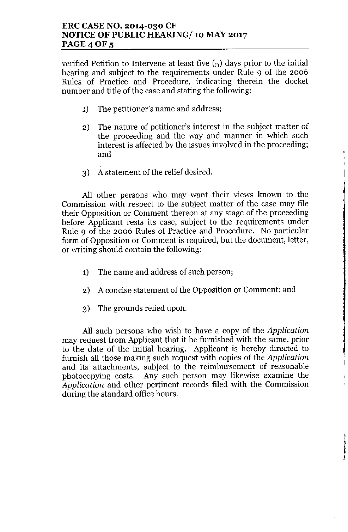verified Petition to Intervene at least five (5) days prior to the initial hearing and subject to the requirements under Rule 9 of the 2006 Rules of Practice and Procedure, indicating therein the docket number and title of the case and stating the following:

- 1) The petitioner's name and address;
- 2) The nature of petitioner's interest in the subject matter of the proceeding and the way and manner in which such interest is affected by the issues involved in the proceeding; and

 $\overline{\phantom{a}}$ 

3) A statement of the relief desired.

All other persons who may want their views known to the Commission with respect to the subject matter of the case may file their Opposition or Comment thereon at any stage of the proceeding before Applicant rests its case, subject to the requirements under Rule 9 of the 2006 Rules of Practice and Procedure. No particular form of Opposition or Comment is required, but the document, letter, or writing should contain tbe following:

- 1) The name and address of such person;
- 2) A concise statement of the Opposition or Comment; and
- 3) The grounds relied upon.

All such persons who wish to have a copy of the *Application* may request from Applicant that it be furnished with the same, prior to the date of the initial hearing. Applicant is hereby directed to furnish all those making such request with copies of the *Application* and its attachments, subject to the reimbursement of reasonable photocopying costs. Any such person may likewise examine the *Application* and other pertinent records filed with the Commission during the standard office hours.